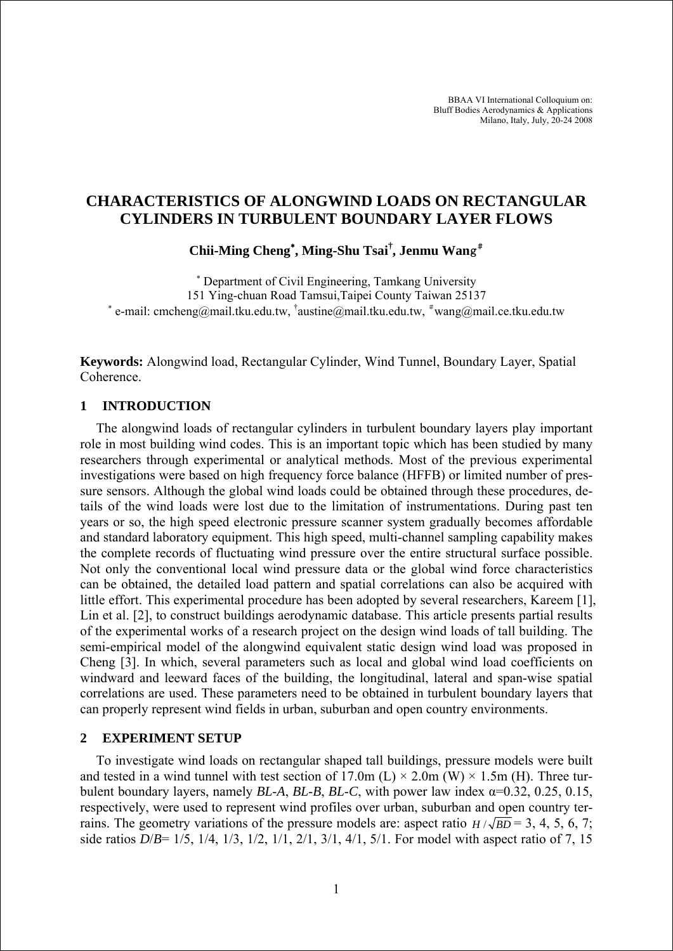BBAA VI International Colloquium on: Bluff Bodies Aerodynamics & Applications Milano, Italy, July, 20-24 2008

# **CHARACTERISTICS OF ALONGWIND LOADS ON RECTANGULAR CYLINDERS IN TURBULENT BOUNDARY LAYER FLOWS**

**Chii-Ming Cheng**<sup>∗</sup> **, Ming-Shu Tsai† , Jenmu Wan**g#

∗ Department of Civil Engineering, Tamkang University 151 Ying-chuan Road Tamsui,Taipei County Taiwan 25137 \* e-mail: cmcheng@mail.tku.edu.tw, <sup>†</sup>austine@mail.tku.edu.tw, <sup>#</sup>wang@mail.ce.tku.edu.tw

**Keywords:** Alongwind load, Rectangular Cylinder, Wind Tunnel, Boundary Layer, Spatial Coherence.

# **1 INTRODUCTION**

The alongwind loads of rectangular cylinders in turbulent boundary layers play important role in most building wind codes. This is an important topic which has been studied by many researchers through experimental or analytical methods. Most of the previous experimental investigations were based on high frequency force balance (HFFB) or limited number of pressure sensors. Although the global wind loads could be obtained through these procedures, details of the wind loads were lost due to the limitation of instrumentations. During past ten years or so, the high speed electronic pressure scanner system gradually becomes affordable and standard laboratory equipment. This high speed, multi-channel sampling capability makes the complete records of fluctuating wind pressure over the entire structural surface possible. Not only the conventional local wind pressure data or the global wind force characteristics can be obtained, the detailed load pattern and spatial correlations can also be acquired with little effort. This experimental procedure has been adopted by several researchers, Kareem [1], Lin et al. [2], to construct buildings aerodynamic database. This article presents partial results of the experimental works of a research project on the design wind loads of tall building. The semi-empirical model of the alongwind equivalent static design wind load was proposed in Cheng [3]. In which, several parameters such as local and global wind load coefficients on windward and leeward faces of the building, the longitudinal, lateral and span-wise spatial correlations are used. These parameters need to be obtained in turbulent boundary layers that can properly represent wind fields in urban, suburban and open country environments.

## **2 EXPERIMENT SETUP**

To investigate wind loads on rectangular shaped tall buildings, pressure models were built and tested in a wind tunnel with test section of  $17.0\text{m}$  (L)  $\times$  2.0m (W)  $\times$  1.5m (H). Three turbulent boundary layers, namely *BL*-*A*, *BL*-*B*, *BL*-*C*, with power law index α=0.32, 0.25, 0.15, respectively, were used to represent wind profiles over urban, suburban and open country terrains. The geometry variations of the pressure models are: aspect ratio  $H/\sqrt{BD} = 3, 4, 5, 6, 7$ ; side ratios *D*/*B*= 1/5, 1/4, 1/3, 1/2, 1/1, 2/1, 3/1, 4/1, 5/1. For model with aspect ratio of 7, 15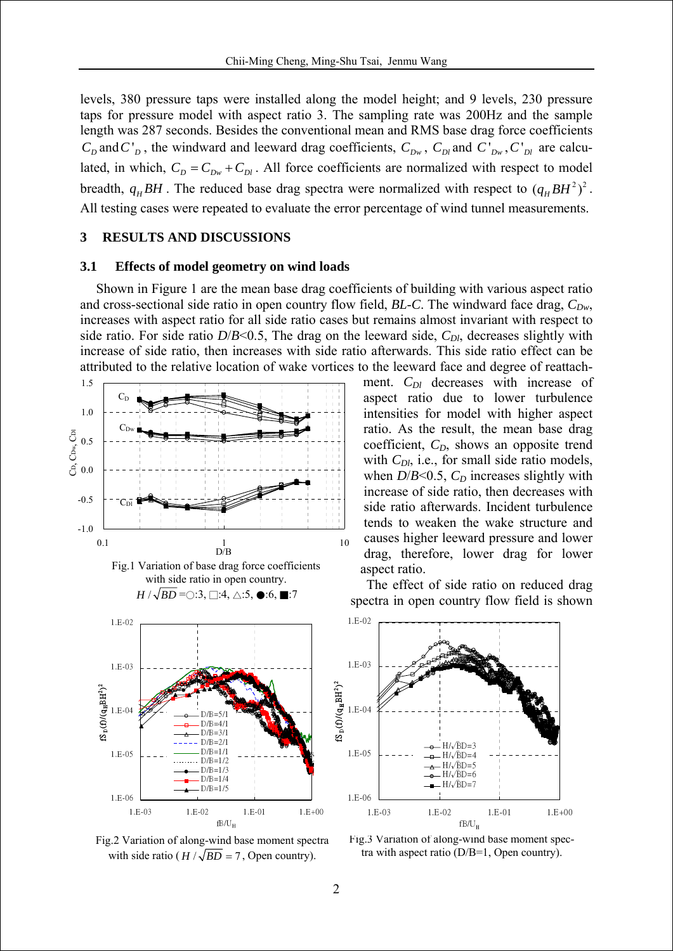levels, 380 pressure taps were installed along the model height; and 9 levels, 230 pressure taps for pressure model with aspect ratio 3. The sampling rate was 200Hz and the sample length was 287 seconds. Besides the conventional mean and RMS base drag force coefficients  $C_p$  and  $C_p$ , the windward and leeward drag coefficients,  $C_{Dw}$ ,  $C_{Dl}$  and  $C_{Dw}$ ,  $C_{Dl}$  are calculated, in which,  $C_D = C_{Dw} + C_{Dl}$ . All force coefficients are normalized with respect to model breadth,  $q_H BH$ . The reduced base drag spectra were normalized with respect to  $(q_H BH^2)^2$ . All testing cases were repeated to evaluate the error percentage of wind tunnel measurements.

#### **3 RESULTS AND DISCUSSIONS**

#### **3.1 Effects of model geometry on wind loads**

Shown in Figure 1 are the mean base drag coefficients of building with various aspect ratio and cross-sectional side ratio in open country flow field, *BL-C*. The windward face drag,  $C_{Dw}$ , increases with aspect ratio for all side ratio cases but remains almost invariant with respect to side ratio. For side ratio  $D/B<0.5$ , The drag on the leeward side,  $C_{Dl}$ , decreases slightly with increase of side ratio, then increases with side ratio afterwards. This side ratio effect can be attributed to the relative location of wake vortices to the leeward face and degree of reattach-







Fig.2 Variation of along-wind base moment spectra with side ratio ( $H / \sqrt{BD} = 7$ , Open country).

ment.  $C_{Dl}$  decreases with increase of aspect ratio due to lower turbulence intensities for model with higher aspect ratio. As the result, the mean base drag coefficient,  $C<sub>D</sub>$ , shows an opposite trend with *C<sub>Dl</sub>*, i.e., for small side ratio models, when  $D/B<0.5$ ,  $C_D$  increases slightly with increase of side ratio, then decreases with side ratio afterwards. Incident turbulence tends to weaken the wake structure and causes higher leeward pressure and lower drag, therefore, lower drag for lower aspect ratio.

The effect of side ratio on reduced drag spectra in open country flow field is shown



Fig.3 Variation of along-wind base moment spectra with aspect ratio (D/B=1, Open country).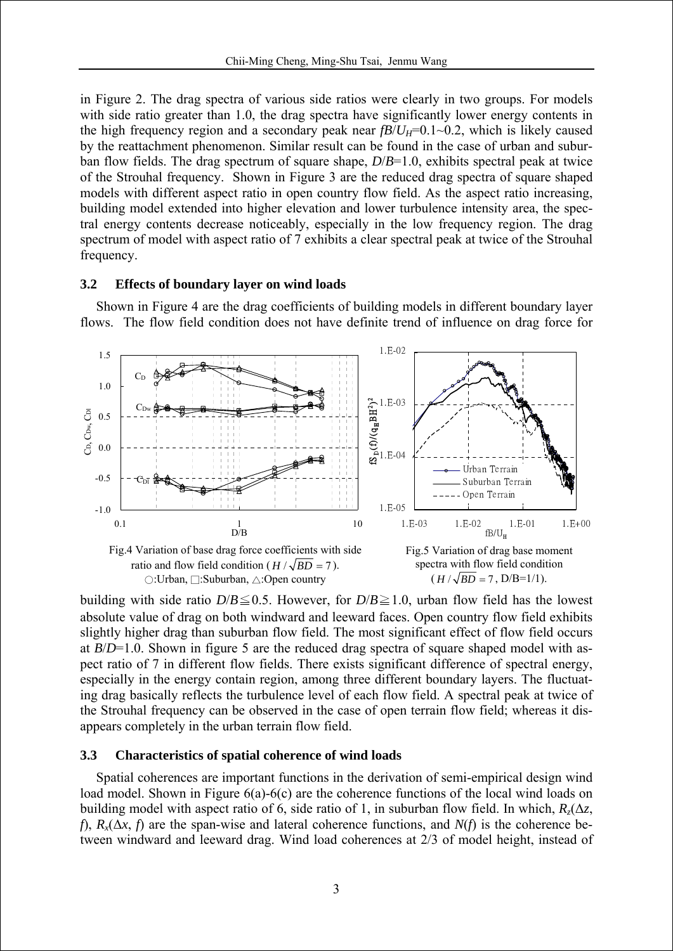in Figure 2. The drag spectra of various side ratios were clearly in two groups. For models with side ratio greater than 1.0, the drag spectra have significantly lower energy contents in the high frequency region and a secondary peak near  $fB/U_H=0.1~0.2$ , which is likely caused by the reattachment phenomenon. Similar result can be found in the case of urban and suburban flow fields. The drag spectrum of square shape, *D*/*B*=1.0, exhibits spectral peak at twice of the Strouhal frequency. Shown in Figure 3 are the reduced drag spectra of square shaped models with different aspect ratio in open country flow field. As the aspect ratio increasing, building model extended into higher elevation and lower turbulence intensity area, the spectral energy contents decrease noticeably, especially in the low frequency region. The drag spectrum of model with aspect ratio of 7 exhibits a clear spectral peak at twice of the Strouhal frequency.

## **3.2 Effects of boundary layer on wind loads**

Shown in Figure 4 are the drag coefficients of building models in different boundary layer flows. The flow field condition does not have definite trend of influence on drag force for



building with side ratio  $D/B \le 0.5$ . However, for  $D/B \ge 1.0$ , urban flow field has the lowest absolute value of drag on both windward and leeward faces. Open country flow field exhibits slightly higher drag than suburban flow field. The most significant effect of flow field occurs at *B*/*D*=1.0. Shown in figure 5 are the reduced drag spectra of square shaped model with aspect ratio of 7 in different flow fields. There exists significant difference of spectral energy, especially in the energy contain region, among three different boundary layers. The fluctuating drag basically reflects the turbulence level of each flow field. A spectral peak at twice of the Strouhal frequency can be observed in the case of open terrain flow field; whereas it disappears completely in the urban terrain flow field.

## **3.3 Characteristics of spatial coherence of wind loads**

Spatial coherences are important functions in the derivation of semi-empirical design wind load model. Shown in Figure 6(a)-6(c) are the coherence functions of the local wind loads on building model with aspect ratio of 6, side ratio of 1, in suburban flow field. In which,  $R_7(\Delta z)$ , *f*),  $R_x(\Delta x, f)$  are the span-wise and lateral coherence functions, and  $N(f)$  is the coherence between windward and leeward drag. Wind load coherences at 2/3 of model height, instead of